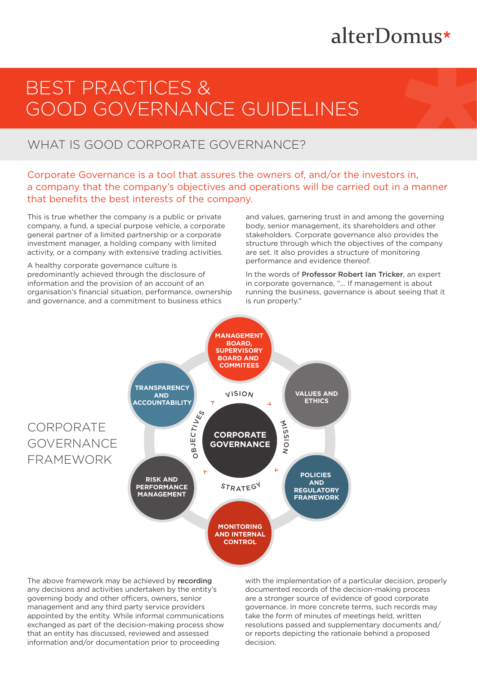# alterDomus\*

# BEST PRACTICES & GOOD GOVERNANCE GUIDELINES

## WHAT IS GOOD CORPORATE GOVERNANCE?

Corporate Governance is a tool that assures the owners of, and/or the investors in, a company that the company's objectives and operations will be carried out in a manner that benefits the best interests of the company.

This is true whether the company is a public or private company, a fund, a special purpose vehicle, a corporate general partner of a limited partnership or a corporate investment manager, a holding company with limited activity, or a company with extensive trading activities.

A healthy corporate governance culture is predominantly achieved through the disclosure of information and the provision of an account of an organisation's financial situation, performance, ownership and governance, and a commitment to business ethics

and values, garnering trust in and among the governing body, senior management, its shareholders and other stakeholders. Corporate governance also provides the structure through which the objectives of the company are set. It also provides a structure of monitoring performance and evidence thereof.

In the words of Professor Robert Ian Tricker, an expert in corporate governance, "… If management is about running the business, governance is about seeing that it is run properly."



The above framework may be achieved by recording any decisions and activities undertaken by the entity's governing body and other officers, owners, senior management and any third party service providers appointed by the entity. While informal communications exchanged as part of the decision-making process show that an entity has discussed, reviewed and assessed information and/or documentation prior to proceeding

with the implementation of a particular decision, properly documented records of the decision-making process are a stronger source of evidence of good corporate governance. In more concrete terms, such records may take the form of minutes of meetings held, written resolutions passed and supplementary documents and/ or reports depicting the rationale behind a proposed decision.